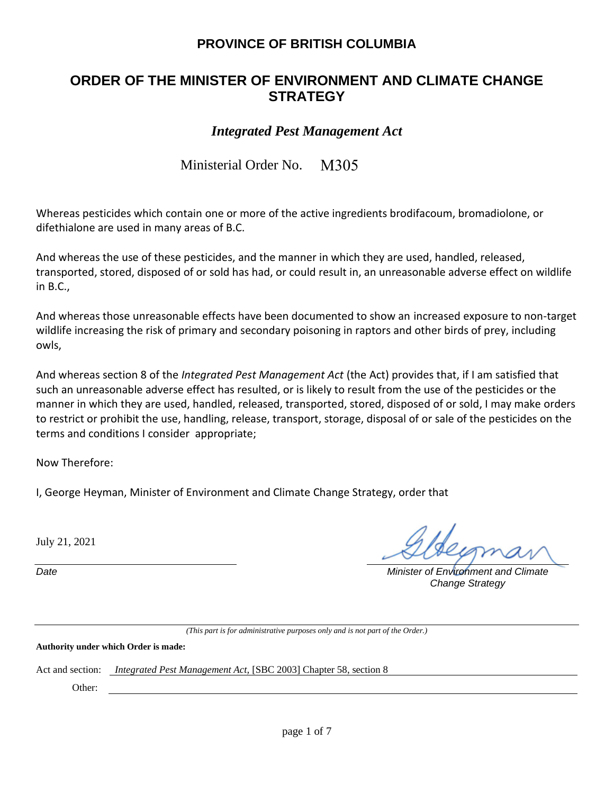## **PROVINCE OF BRITISH COLUMBIA**

# **ORDER OF THE MINISTER OF ENVIRONMENT AND CLIMATE CHANGE STRATEGY**

### *Integrated Pest Management Act*

Ministerial Order No. M305

Whereas pesticides which contain one or more of the active ingredients brodifacoum, bromadiolone, or difethialone are used in many areas of B.C.

And whereas the use of these pesticides, and the manner in which they are used, handled, released, transported, stored, disposed of or sold has had, or could result in, an unreasonable adverse effect on wildlife in B.C.,

And whereas those unreasonable effects have been documented to show an increased exposure to non-target wildlife increasing the risk of primary and secondary poisoning in raptors and other birds of prey, including owls,

And whereas section 8 of the *Integrated Pest Management Act* (the Act) provides that, if I am satisfied that such an unreasonable adverse effect has resulted, or is likely to result from the use of the pesticides or the manner in which they are used, handled, released, transported, stored, disposed of or sold, I may make orders to restrict or prohibit the use, handling, release, transport, storage, disposal of or sale of the pesticides on the terms and conditions I consider appropriate;

Now Therefore:

I, George Heyman, Minister of Environment and Climate Change Strategy, order that

July 21, 2021

*Date Minister of Environment and Climate Change Strategy*

*(This part is for administrative purposes only and is not part of the Order.)*

**Authority under which Order is made:**

Act and section: *Integrated Pest Management Act,* [SBC 2003] Chapter 58, section 8

Other: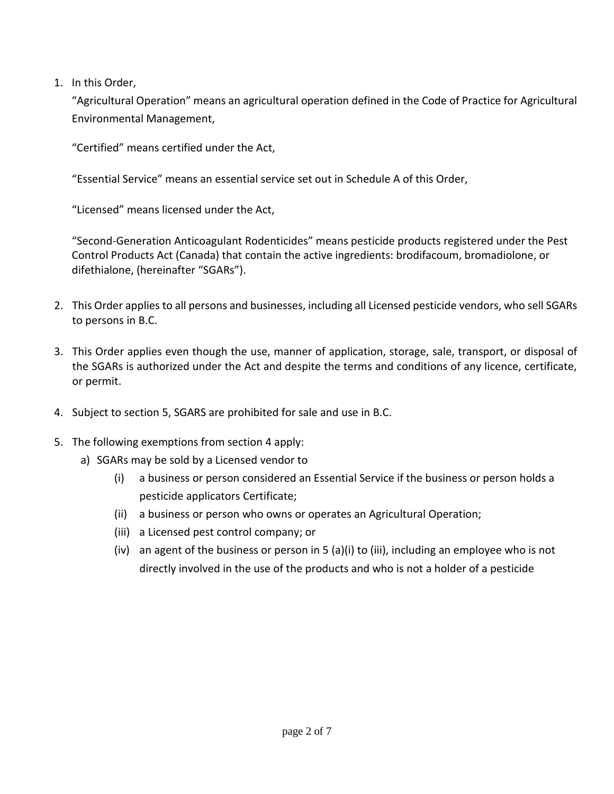1. In this Order,

"Agricultural Operation" means an agricultural operation defined in the Code of Practice for Agricultural Environmental Management,

"Certified" means certified under the Act,

"Essential Service" means an essential service set out in Schedule A of this Order,

"Licensed" means licensed under the Act,

"Second-Generation Anticoagulant Rodenticides" means pesticide products registered under the Pest Control Products Act (Canada) that contain the active ingredients: brodifacoum, bromadiolone, or difethialone, (hereinafter "SGARs").

- 2. This Order applies to all persons and businesses, including all Licensed pesticide vendors, who sell SGARs to persons in B.C.
- 3. This Order applies even though the use, manner of application, storage, sale, transport, or disposal of the SGARs is authorized under the Act and despite the terms and conditions of any licence, certificate, or permit.
- 4. Subject to section 5, SGARS are prohibited for sale and use in B.C.
- 5. The following exemptions from section 4 apply:
	- a) SGARs may be sold by a Licensed vendor to
		- (i) a business or person considered an Essential Service if the business or person holds a pesticide applicators Certificate;
		- (ii) a business or person who owns or operates an Agricultural Operation;
		- (iii) a Licensed pest control company; or
		- (iv) an agent of the business or person in 5 (a)(i) to (iii), including an employee who is not directly involved in the use of the products and who is not a holder of a pesticide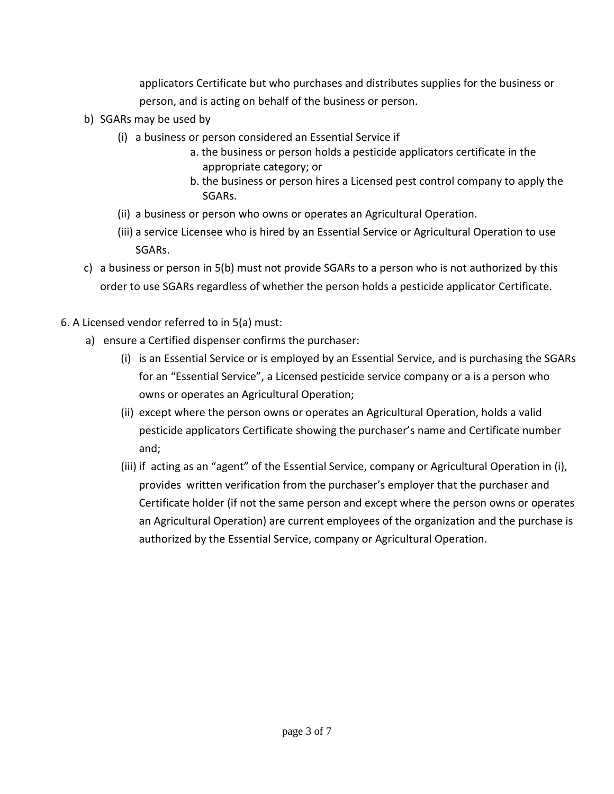applicators Certificate but who purchases and distributes supplies for the business or person, and is acting on behalf of the business or person.

- b) SGARs may be used by
	- (i) a business or person considered an Essential Service if
		- a. the business or person holds a pesticide applicators certificate in the appropriate category; or
		- b. the business or person hires a Licensed pest control company to apply the SGARs.
	- (ii) a business or person who owns or operates an Agricultural Operation.
	- (iii) a service Licensee who is hired by an Essential Service or Agricultural Operation to use SGARs.
- c) a business or person in 5(b) must not provide SGARs to a person who is not authorized by this order to use SGARs regardless of whether the person holds a pesticide applicator Certificate.
- 6. A Licensed vendor referred to in 5(a) must:
	- a) ensure a Certified dispenser confirms the purchaser:
		- (i) is an Essential Service or is employed by an Essential Service, and is purchasing the SGARs for an "Essential Service", a Licensed pesticide service company or a is a person who owns or operates an Agricultural Operation;
		- (ii) except where the person owns or operates an Agricultural Operation, holds a valid pesticide applicators Certificate showing the purchaser's name and Certificate number and;
		- (iii) if acting as an "agent" of the Essential Service, company or Agricultural Operation in (i), provides written verification from the purchaser's employer that the purchaser and Certificate holder (if not the same person and except where the person owns or operates an Agricultural Operation) are current employees of the organization and the purchase is authorized by the Essential Service, company or Agricultural Operation.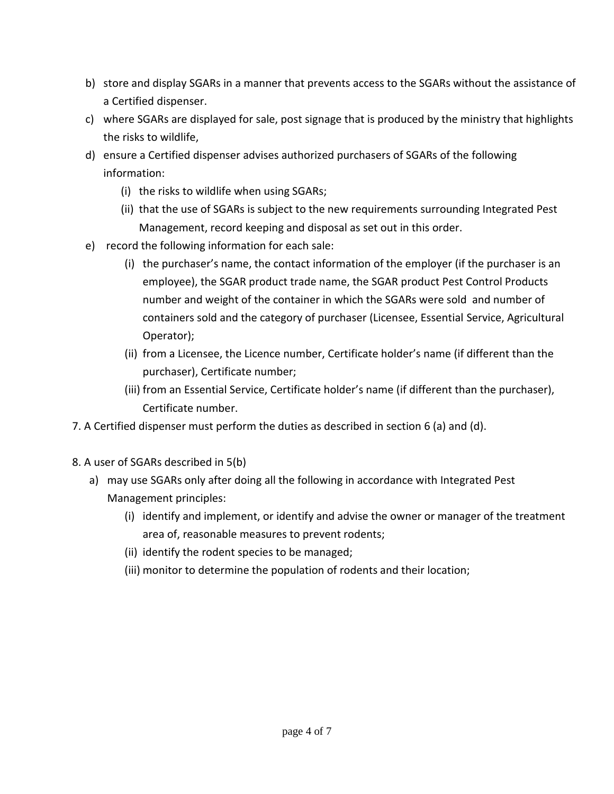- b) store and display SGARs in a manner that prevents access to the SGARs without the assistance of a Certified dispenser.
- c) where SGARs are displayed for sale, post signage that is produced by the ministry that highlights the risks to wildlife,
- d) ensure a Certified dispenser advises authorized purchasers of SGARs of the following information:
	- (i) the risks to wildlife when using SGARs;
	- (ii) that the use of SGARs is subject to the new requirements surrounding Integrated Pest Management, record keeping and disposal as set out in this order.
- e) record the following information for each sale:
	- (i) the purchaser's name, the contact information of the employer (if the purchaser is an employee), the SGAR product trade name, the SGAR product Pest Control Products number and weight of the container in which the SGARs were sold and number of containers sold and the category of purchaser (Licensee, Essential Service, Agricultural Operator);
	- (ii) from a Licensee, the Licence number, Certificate holder's name (if different than the purchaser), Certificate number;
	- (iii) from an Essential Service, Certificate holder's name (if different than the purchaser), Certificate number.
- 7. A Certified dispenser must perform the duties as described in section 6 (a) and (d).
- 8. A user of SGARs described in 5(b)
	- a) may use SGARs only after doing all the following in accordance with Integrated Pest Management principles:
		- (i) identify and implement, or identify and advise the owner or manager of the treatment area of, reasonable measures to prevent rodents;
		- (ii) identify the rodent species to be managed;
		- (iii) monitor to determine the population of rodents and their location;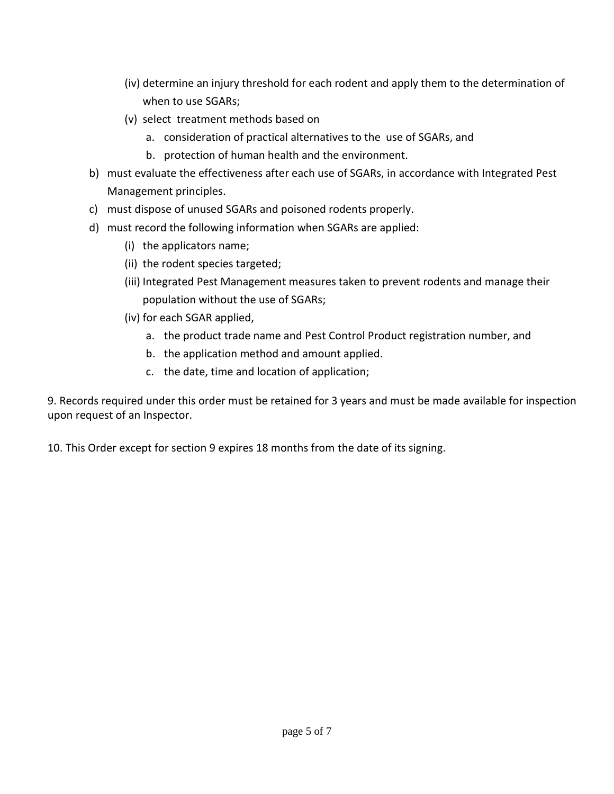- (iv) determine an injury threshold for each rodent and apply them to the determination of when to use SGARs;
- (v) select treatment methods based on
	- a. consideration of practical alternatives to the use of SGARs, and
	- b. protection of human health and the environment.
- b) must evaluate the effectiveness after each use of SGARs, in accordance with Integrated Pest Management principles.
- c) must dispose of unused SGARs and poisoned rodents properly.
- d) must record the following information when SGARs are applied:
	- (i) the applicators name;
	- (ii) the rodent species targeted;
	- (iii) Integrated Pest Management measures taken to prevent rodents and manage their population without the use of SGARs;
	- (iv) for each SGAR applied,
		- a. the product trade name and Pest Control Product registration number, and
		- b. the application method and amount applied.
		- c. the date, time and location of application;

9. Records required under this order must be retained for 3 years and must be made available for inspection upon request of an Inspector.

10. This Order except for section 9 expires 18 months from the date of its signing.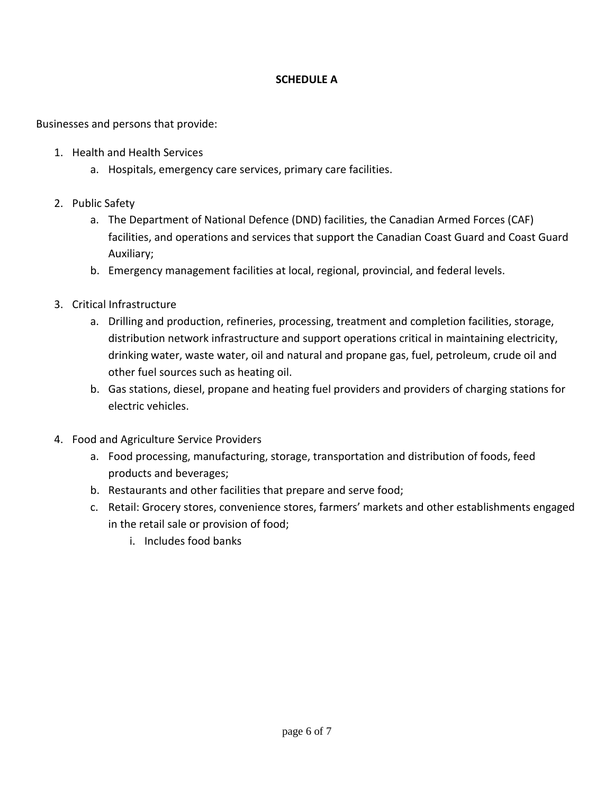#### **SCHEDULE A**

Businesses and persons that provide:

- 1. Health and Health Services
	- a. Hospitals, emergency care services, primary care facilities.
- 2. Public Safety
	- a. The Department of National Defence (DND) facilities, the Canadian Armed Forces (CAF) facilities, and operations and services that support the Canadian Coast Guard and Coast Guard Auxiliary;
	- b. Emergency management facilities at local, regional, provincial, and federal levels.
- 3. Critical Infrastructure
	- a. Drilling and production, refineries, processing, treatment and completion facilities, storage, distribution network infrastructure and support operations critical in maintaining electricity, drinking water, waste water, oil and natural and propane gas, fuel, petroleum, crude oil and other fuel sources such as heating oil.
	- b. Gas stations, diesel, propane and heating fuel providers and providers of charging stations for electric vehicles.
- 4. Food and Agriculture Service Providers
	- a. Food processing, manufacturing, storage, transportation and distribution of foods, feed products and beverages;
	- b. Restaurants and other facilities that prepare and serve food;
	- c. Retail: Grocery stores, convenience stores, farmers' markets and other establishments engaged in the retail sale or provision of food;
		- i. Includes food banks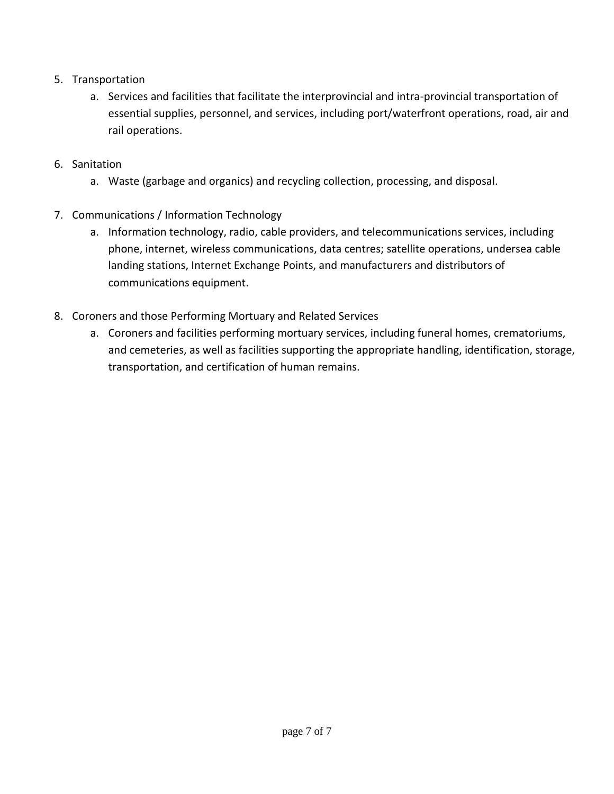- 5. Transportation
	- a. Services and facilities that facilitate the interprovincial and intra-provincial transportation of essential supplies, personnel, and services, including port/waterfront operations, road, air and rail operations.
- 6. Sanitation
	- a. Waste (garbage and organics) and recycling collection, processing, and disposal.
- 7. Communications / Information Technology
	- a. Information technology, radio, cable providers, and telecommunications services, including phone, internet, wireless communications, data centres; satellite operations, undersea cable landing stations, Internet Exchange Points, and manufacturers and distributors of communications equipment.
- 8. Coroners and those Performing Mortuary and Related Services
	- a. Coroners and facilities performing mortuary services, including funeral homes, crematoriums, and cemeteries, as well as facilities supporting the appropriate handling, identification, storage, transportation, and certification of human remains.